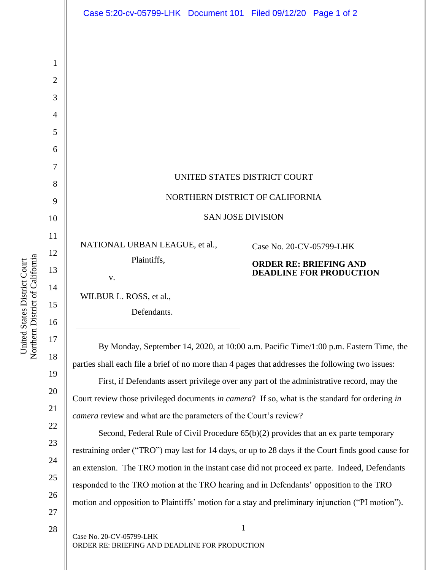Northern District of California Northern District of California United States District Court United States District Court

1

2

3

4

5

6

7

8

9

10

11

13

15

27

By Monday, September 14, 2020, at 10:00 a.m. Pacific Time/1:00 p.m. Eastern Time, the parties shall each file a brief of no more than 4 pages that addresses the following two issues:

First, if Defendants assert privilege over any part of the administrative record, may the Court review those privileged documents *in camera*? If so, what is the standard for ordering *in* 

Second, Federal Rule of Civil Procedure 65(b)(2) provides that an ex parte temporary restraining order ("TRO") may last for 14 days, or up to 28 days if the Court finds good cause for an extension. The TRO motion in the instant case did not proceed ex parte. Indeed, Defendants responded to the TRO motion at the TRO hearing and in Defendants' opposition to the TRO motion and opposition to Plaintiffs' motion for a stay and preliminary injunction ("PI motion").